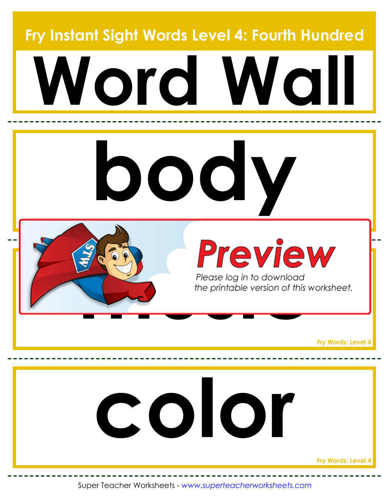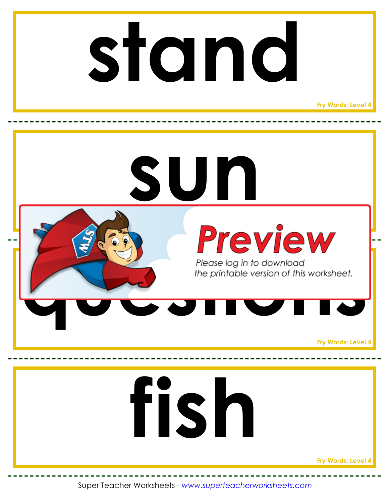#### **stand**

**Fry Words: Level 4**

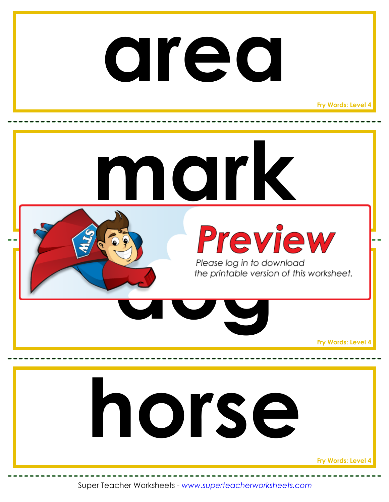#### **area**

**Fry Words: Level 4**

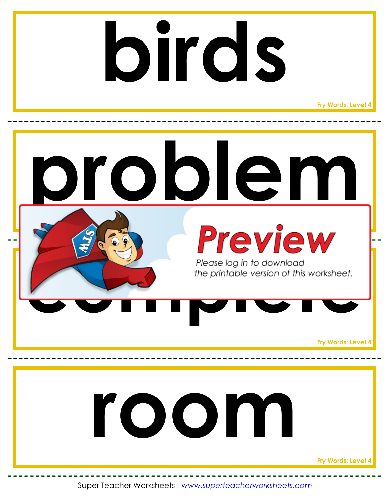## **birds**

**Fry Words: Level 4**

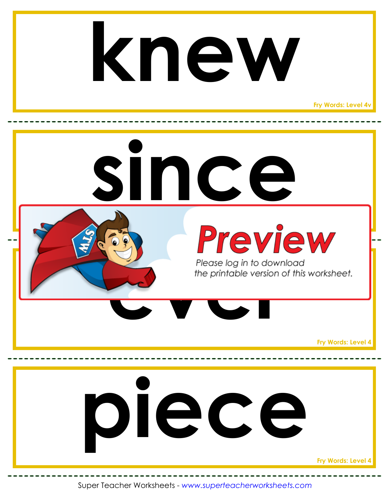#### **knew**

**Fry Words: Level 4v**

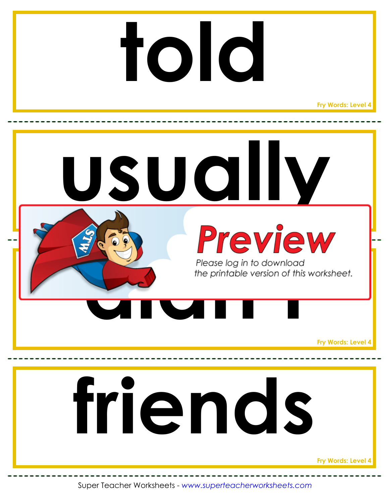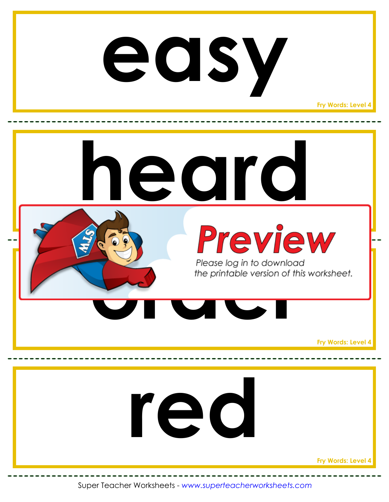#### **easy**

**Fry Words: Level 4**

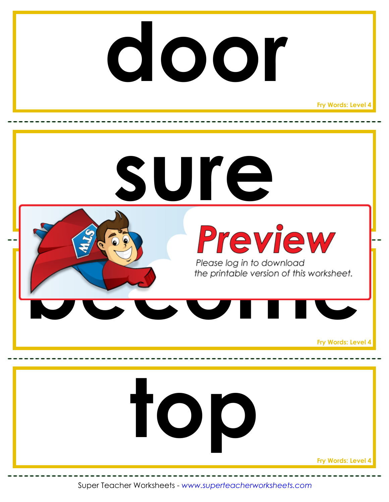#### **door**

**Fry Words: Level 4**

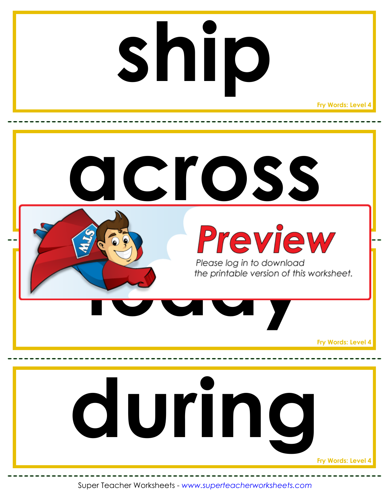# **ship**

**Fry Words: Level 4**

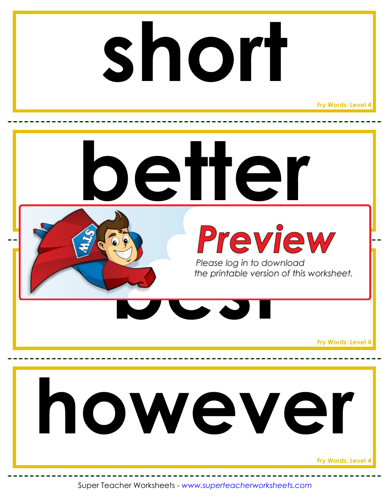### **short**

**Fry Words: Level 4**

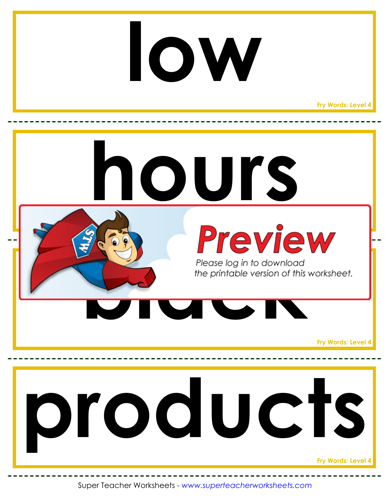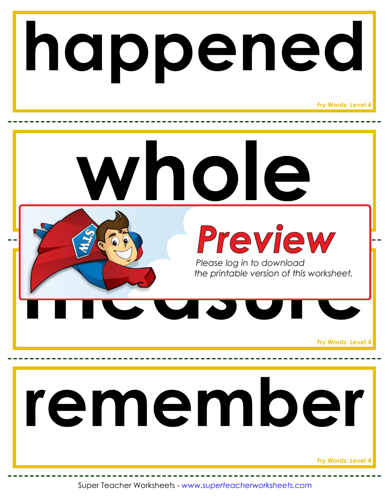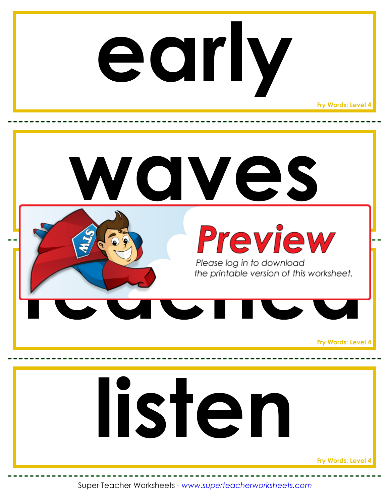### **early**

**Fry Words: Level 4**

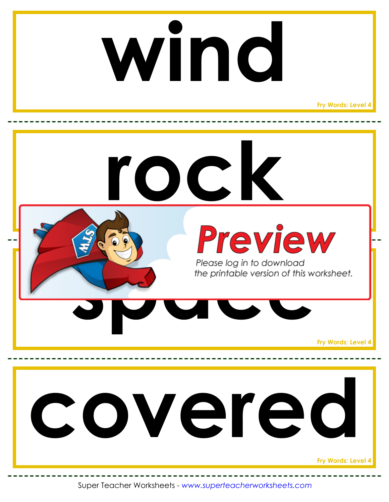## **wind**

**Fry Words: Level 4**

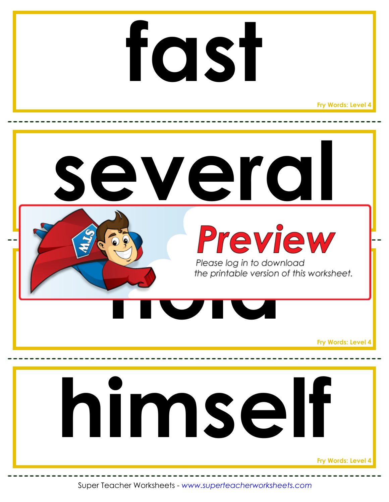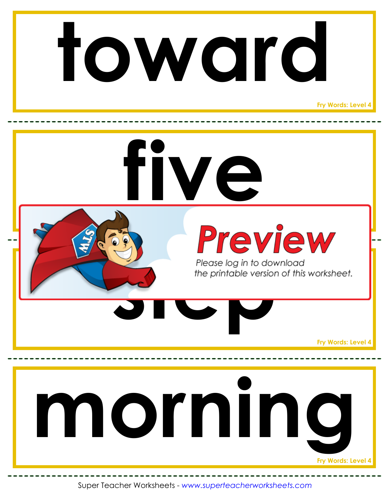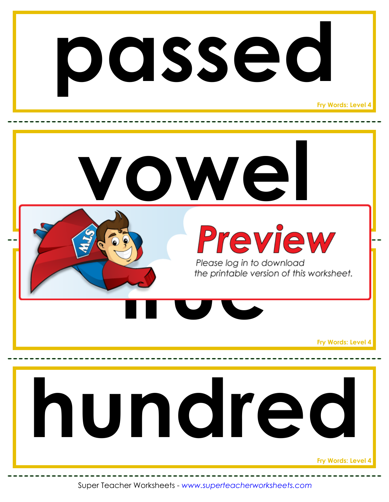

**Fry Words: Level 4**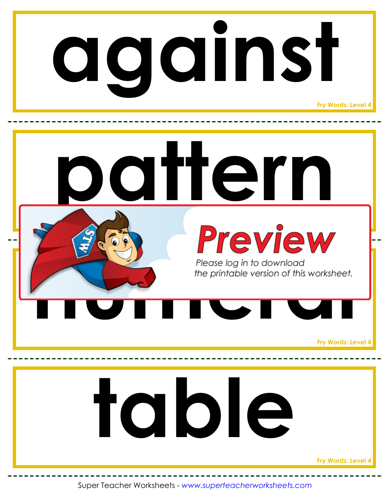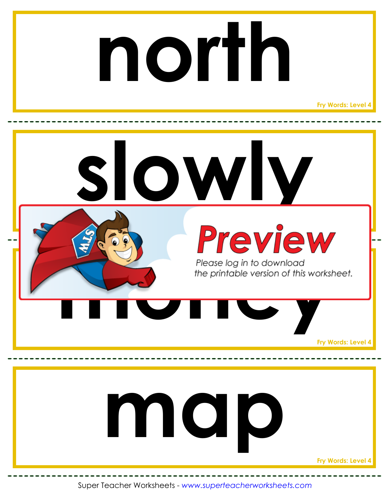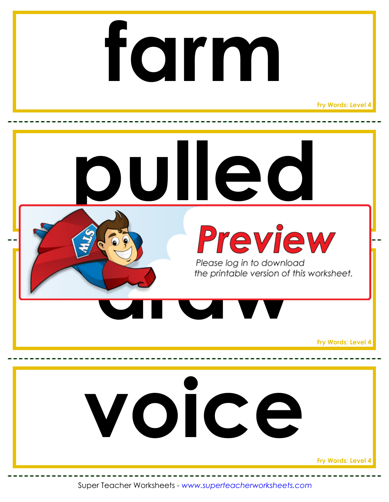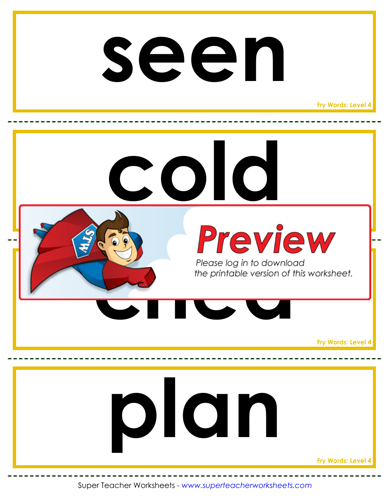#### **seen**

**Fry Words: Level 4**

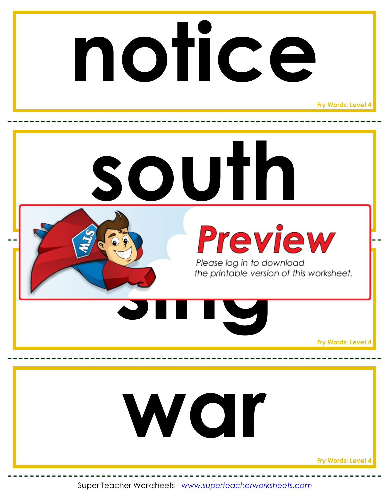

**Fry Words: Level 4**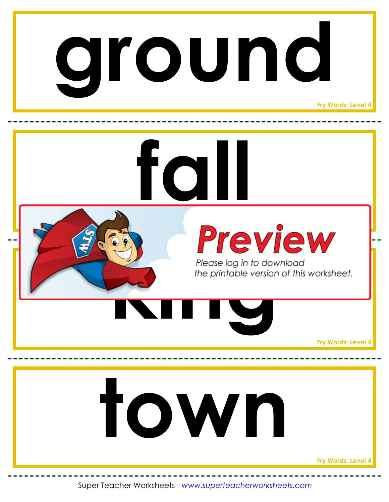

**Fry Words: Level 4**

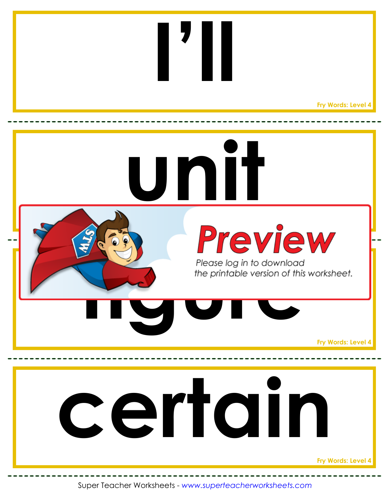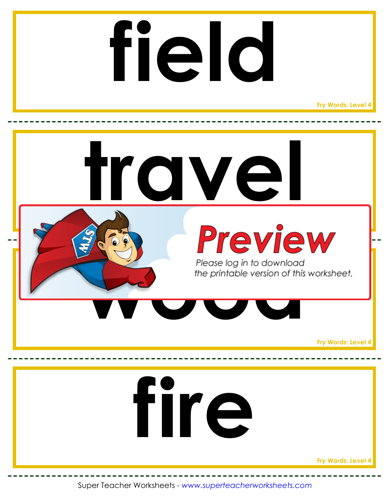## **field**

**Fry Words: Level 4**